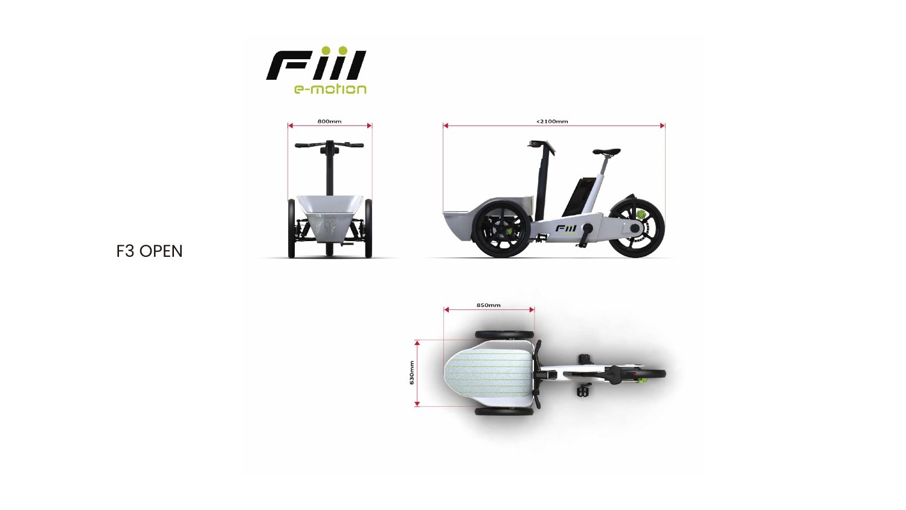



## F3 OPEN





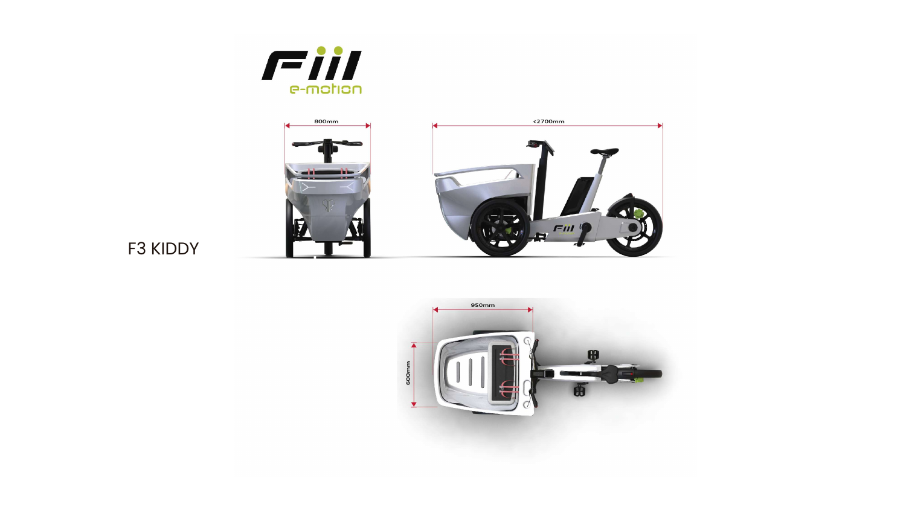



## F3 KIDDY



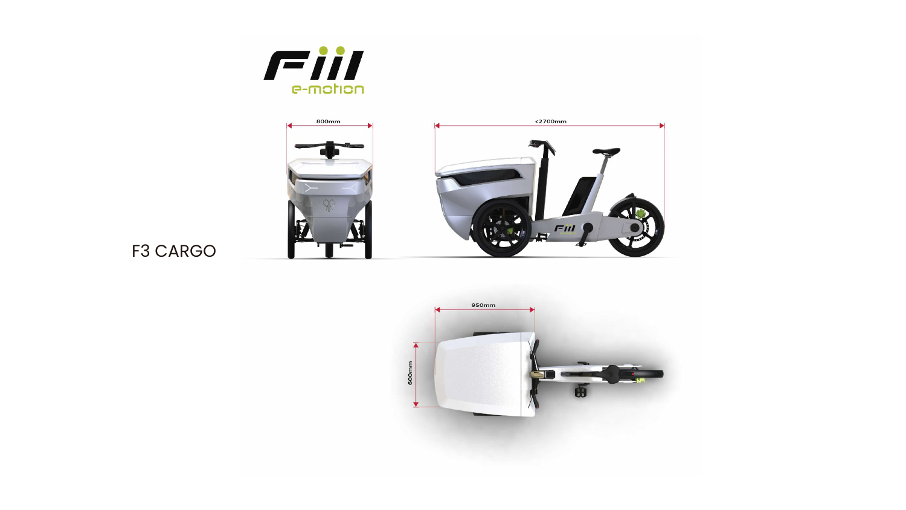



## F3 CARGO